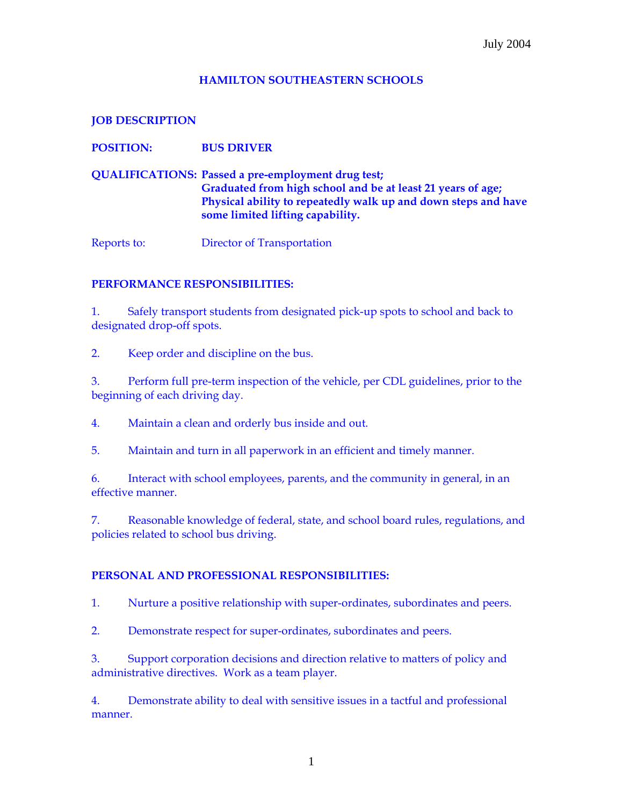## **HAMILTON SOUTHEASTERN SCHOOLS**

**JOB DESCRIPTION** 

**QUALIFICATIONS: Passed a pre-employment drug test; Graduated from high school and be at least 21 years of age; Physical ability to repeatedly walk up and down steps and have some limited lifting capability.** 

Reports to: Director of Transportation

## **PERFORMANCE RESPONSIBILITIES:**

**POSITION: BUS DRIVER** 

1. Safely transport students from designated pick-up spots to school and back to designated drop-off spots.

2. Keep order and discipline on the bus.

3. Perform full pre-term inspection of the vehicle, per CDL guidelines, prior to the beginning of each driving day.

4. Maintain a clean and orderly bus inside and out.

5. Maintain and turn in all paperwork in an efficient and timely manner.

6. Interact with school employees, parents, and the community in general, in an effective manner.

7. Reasonable knowledge of federal, state, and school board rules, regulations, and policies related to school bus driving.

## **PERSONAL AND PROFESSIONAL RESPONSIBILITIES:**

1. Nurture a positive relationship with super-ordinates, subordinates and peers.

2. Demonstrate respect for super-ordinates, subordinates and peers.

3. Support corporation decisions and direction relative to matters of policy and administrative directives. Work as a team player.

4. Demonstrate ability to deal with sensitive issues in a tactful and professional manner.